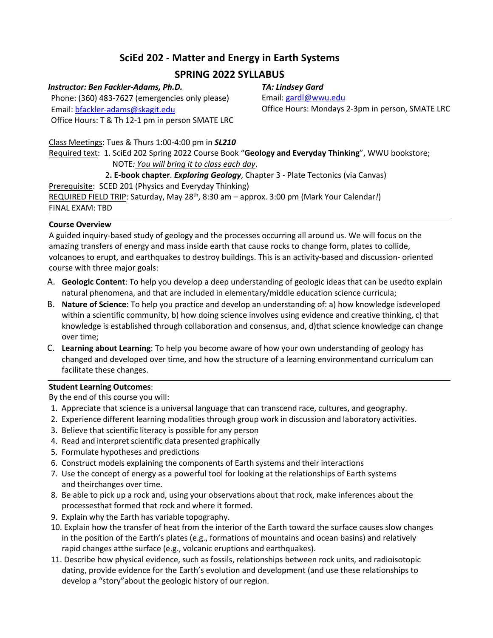# **SciEd 202 - Matter and Energy in Earth Systems**

# **SPRING 2022 SYLLABUS**

## *Instructor: Ben Fackler-Adams, Ph.D.*

Phone: (360) 483-7627 (emergencies only please) Email: bfackler-adams@skagit.edu Office Hours: T & Th 12-1 pm in person SMATE LRC *TA: Lindsey Gard*

Email: gardl@wwu.edu Office Hours: Mondays 2-3pm in person, SMATE LRC

Class Meetings: Tues & Thurs 1:00-4:00 pm in *SL210* Required text: 1. SciEd 202 Spring 2022 Course Book "**Geology and Everyday Thinking**", WWU bookstore; NOTE*: You will bring it to class each day*.

2**. E-book chapter**. *Exploring Geology*, Chapter 3 - Plate Tectonics (via Canvas)

Prerequisite: SCED 201 (Physics and Everyday Thinking)

REQUIRED FIELD TRIP: Saturday, May 28th, 8:30 am – approx. 3:00 pm (Mark Your Calendar*!*) FINAL EXAM: TBD

# **Course Overview**

A guided inquiry-based study of geology and the processes occurring all around us. We will focus on the amazing transfers of energy and mass inside earth that cause rocks to change form, plates to collide, volcanoes to erupt, and earthquakes to destroy buildings. This is an activity-based and discussion- oriented course with three major goals:

- A. **Geologic Content**: To help you develop a deep understanding of geologic ideas that can be usedto explain natural phenomena, and that are included in elementary/middle education science curricula;
- B. **Nature of Science**: To help you practice and develop an understanding of: a) how knowledge isdeveloped within a scientific community, b) how doing science involves using evidence and creative thinking, c) that knowledge is established through collaboration and consensus, and, d)that science knowledge can change over time;
- C. **Learning about Learning**: To help you become aware of how your own understanding of geology has changed and developed over time, and how the structure of a learning environmentand curriculum can facilitate these changes.

# **Student Learning Outcomes**:

By the end of this course you will:

- 1. Appreciate that science is a universal language that can transcend race, cultures, and geography.
- 2. Experience different learning modalities through group work in discussion and laboratory activities.
- 3. Believe that scientific literacy is possible for any person
- 4. Read and interpret scientific data presented graphically
- 5. Formulate hypotheses and predictions
- 6. Construct models explaining the components of Earth systems and their interactions
- 7. Use the concept of energy as a powerful tool for looking at the relationships of Earth systems and theirchanges over time.
- 8. Be able to pick up a rock and, using your observations about that rock, make inferences about the processesthat formed that rock and where it formed.
- 9. Explain why the Earth has variable topography.
- 10. Explain how the transfer of heat from the interior of the Earth toward the surface causes slow changes in the position of the Earth's plates (e.g., formations of mountains and ocean basins) and relatively rapid changes atthe surface (e.g., volcanic eruptions and earthquakes).
- 11. Describe how physical evidence, such as fossils, relationships between rock units, and radioisotopic dating, provide evidence for the Earth's evolution and development (and use these relationships to develop a "story"about the geologic history of our region.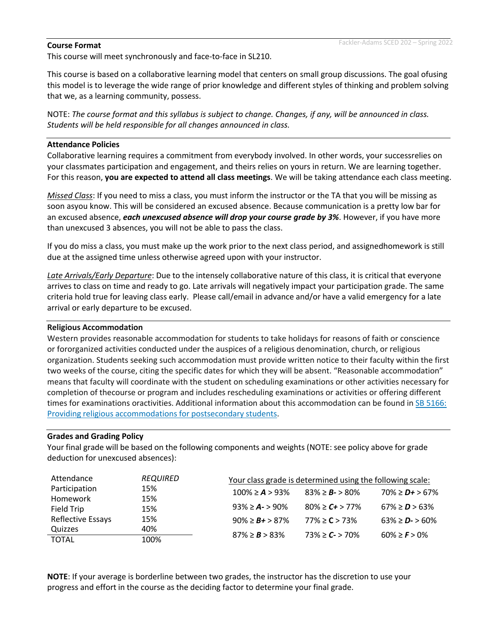#### **Course Format**

This course will meet synchronously and face-to-face in SL210.

This course is based on a collaborative learning model that centers on small group discussions. The goal ofusing this model is to leverage the wide range of prior knowledge and different styles of thinking and problem solving that we, as a learning community, possess.

NOTE: *The course format and this syllabus is subject to change. Changes, if any, will be announced in class. Students will be held responsible for all changes announced in class.*

#### **Attendance Policies**

Collaborative learning requires a commitment from everybody involved. In other words, your successrelies on your classmates participation and engagement, and theirs relies on yours in return. We are learning together. For this reason, **you are expected to attend all class meetings**. We will be taking attendance each class meeting.

*Missed Class*: If you need to miss a class, you must inform the instructor or the TA that you will be missing as soon asyou know. This will be considered an excused absence. Because communication is a pretty low bar for an excused absence, *each unexcused absence will drop your course grade by 3%*. However, if you have more than unexcused 3 absences, you will not be able to pass the class.

If you do miss a class, you must make up the work prior to the next class period, and assignedhomework is still due at the assigned time unless otherwise agreed upon with your instructor.

*Late Arrivals/Early Departure*: Due to the intensely collaborative nature of this class, it is critical that everyone arrives to class on time and ready to go. Late arrivals will negatively impact your participation grade. The same criteria hold true for leaving class early. Please call/email in advance and/or have a valid emergency for a late arrival or early departure to be excused.

#### **Religious Accommodation**

Western provides reasonable accommodation for students to take holidays for reasons of faith or conscience or fororganized activities conducted under the auspices of a religious denomination, church, or religious organization. Students seeking such accommodation must provide written notice to their faculty within the first two weeks of the course, citing the specific dates for which they will be absent. "Reasonable accommodation" means that faculty will coordinate with the student on scheduling examinations or other activities necessary for completion of thecourse or program and includes rescheduling examinations or activities or offering different times for examinations oractivities. Additional information about this accommodation can be found in SB 5166: Providing religious accommodations for postsecondary students.

### **Grades and Grading Policy**

Your final grade will be based on the following components and weights (NOTE: see policy above for grade deduction for unexcused absences):

| Attendance        | <b>REQUIRED</b> | Your class grade is determined using the following scale: |                       |                       |
|-------------------|-----------------|-----------------------------------------------------------|-----------------------|-----------------------|
| Participation     | 15%             | $100\% \geq A > 93\%$                                     | $83\% \ge B - 80\%$   | $70\% \geq D + 567\%$ |
| Homework          | 15%             |                                                           |                       |                       |
| Field Trip        | 15%             | $93\% \geq A - 90\%$                                      | $80\% \geq C + 577\%$ | $67\% \ge D$ > 63%    |
| Reflective Essays | 15%             | $90\% \geq B + 587\%$                                     | $77\% \ge C > 73\%$   | $63\% \geq D - 560\%$ |
| Quizzes           | 40%             | $87\% \ge B > 83\%$                                       | $73\% \geq C$ - > 70% | $60\% \geq F$ > 0%    |
| <b>TOTAL</b>      | 100%            |                                                           |                       |                       |

**NOTE**: If your average is borderline between two grades, the instructor has the discretion to use your progress and effort in the course as the deciding factor to determine your final grade.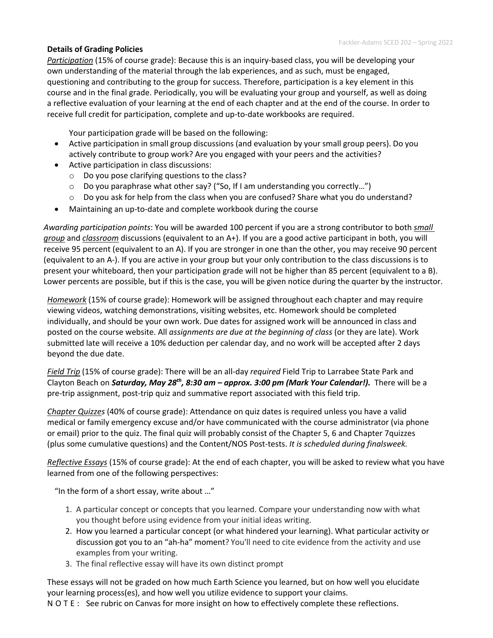page 3F **Details of Grading Policies** *Participation* (15% of course grade): Because this is an inquiry-based class, you will be developing your own understanding of the material through the lab experiences, and as such, must be engaged, questioning and contributing to the group for success. Therefore, participation is a key element in this course and in the final grade. Periodically, you will be evaluating your group and yourself, as well as doing a reflective evaluation of your learning at the end of each chapter and at the end of the course. In order to receive full credit for participation, complete and up-to-date workbooks are required.

Your participation grade will be based on the following:

- Active participation in small group discussions (and evaluation by your small group peers). Do you actively contribute to group work? Are you engaged with your peers and the activities?
- Active participation in class discussions:
	- o Do you pose clarifying questions to the class?
	- $\circ$  Do you paraphrase what other say? ("So, If I am understanding you correctly...")
	- $\circ$  Do you ask for help from the class when you are confused? Share what you do understand?
- Maintaining an up-to-date and complete workbook during the course

*Awarding participation points*: You will be awarded 100 percent if you are a strong contributor to both *small group* and *classroom* discussions (equivalent to an A+). If you are a good active participant in both, you will receive 95 percent (equivalent to an A). If you are stronger in one than the other, you may receive 90 percent (equivalent to an A-). If you are active in your group but your only contribution to the class discussions is to present your whiteboard, then your participation grade will not be higher than 85 percent (equivalent to a B). Lower percents are possible, but if this is the case, you will be given notice during the quarter by the instructor.

*Homework* (15% of course grade): Homework will be assigned throughout each chapter and may require viewing videos, watching demonstrations, visiting websites, etc. Homework should be completed individually, and should be your own work. Due dates for assigned work will be announced in class and posted on the course website. All *assignments are due at the beginning of class* (or they are late). Work submitted late will receive a 10% deduction per calendar day, and no work will be accepted after 2 days beyond the due date.

*Field Trip* (15% of course grade): There will be an all-day *required* Field Trip to Larrabee State Park and Clayton Beach on *Saturday, May 28th, 8:30 am – approx. 3:00 pm (Mark Your Calendar!).* There will be a pre-trip assignment, post-trip quiz and summative report associated with this field trip.

*Chapter Quizzes* (40% of course grade): Attendance on quiz dates is required unless you have a valid medical or family emergency excuse and/or have communicated with the course administrator (via phone or email) prior to the quiz. The final quiz will probably consist of the Chapter 5, 6 and Chapter 7quizzes (plus some cumulative questions) and the Content/NOS Post-tests. *It is scheduled during finalsweek.*

*Reflective Essays* (15% of course grade): At the end of each chapter, you will be asked to review what you have learned from one of the following perspectives:

"In the form of a short essay, write about …"

- 1. A particular concept or concepts that you learned. Compare your understanding now with what you thought before using evidence from your initial ideas writing.
- 2. How you learned a particular concept (or what hindered your learning). What particular activity or discussion got you to an "ah-ha" moment? You'll need to cite evidence from the activity and use examples from your writing.
- 3. The final reflective essay will have its own distinct prompt

These essays will not be graded on how much Earth Science you learned, but on how well you elucidate your learning process(es), and how well you utilize evidence to support your claims.

NOTE: See rubric on Canvas for more insight on how to effectively complete these reflections.